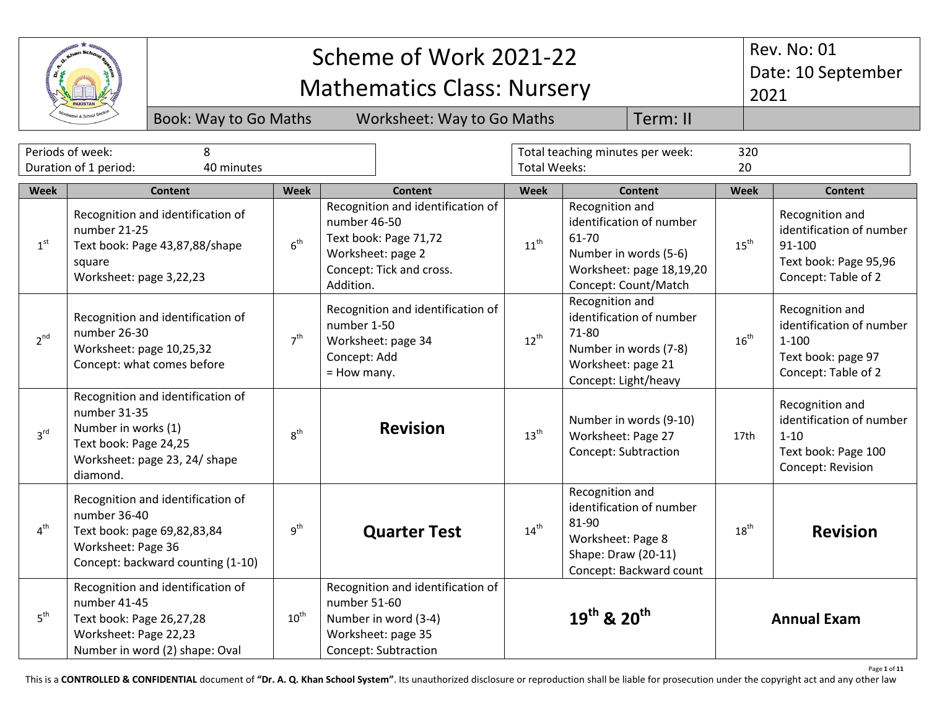| <b>Book: Way to Go Maths</b> |                                                                                                                                          |                                                                                                                                          |                  | Scheme of Work 2021-22<br><b>Mathematics Class: Nursery</b><br>Term: II<br>Worksheet: Way to Go Maths                                    |                                                                                                                             |                                                                                                                                   |                  | <b>Rev. No: 01</b><br>Date: 10 September<br>2021                                                      |  |
|------------------------------|------------------------------------------------------------------------------------------------------------------------------------------|------------------------------------------------------------------------------------------------------------------------------------------|------------------|------------------------------------------------------------------------------------------------------------------------------------------|-----------------------------------------------------------------------------------------------------------------------------|-----------------------------------------------------------------------------------------------------------------------------------|------------------|-------------------------------------------------------------------------------------------------------|--|
|                              | Periods of week:<br>Duration of 1 period:                                                                                                | 8<br>40 minutes                                                                                                                          |                  |                                                                                                                                          | <b>Total Weeks:</b>                                                                                                         | Total teaching minutes per week:                                                                                                  | 320<br>20        |                                                                                                       |  |
| Week                         |                                                                                                                                          | <b>Content</b>                                                                                                                           | Week             | Content                                                                                                                                  | Week                                                                                                                        | <b>Content</b>                                                                                                                    | <b>Week</b>      | Content                                                                                               |  |
| 1 <sup>st</sup>              | number 21-25<br>square<br>Worksheet: page 3,22,23                                                                                        | Recognition and identification of<br>Text book: Page 43,87,88/shape                                                                      | 6 <sup>th</sup>  | Recognition and identification of<br>number 46-50<br>Text book: Page 71,72<br>Worksheet: page 2<br>Concept: Tick and cross.<br>Addition. | $11^{th}$                                                                                                                   | Recognition and<br>identification of number<br>61-70<br>Number in words (5-6)<br>Worksheet: page 18,19,20<br>Concept: Count/Match | $15^{\text{th}}$ | Recognition and<br>identification of number<br>91-100<br>Text book: Page 95,96<br>Concept: Table of 2 |  |
| $2^{nd}$                     | number 26-30<br>Worksheet: page 10,25,32                                                                                                 | Recognition and identification of<br>Concept: what comes before                                                                          | 7 <sup>th</sup>  | Recognition and identification of<br>number 1-50<br>Worksheet: page 34<br>Concept: Add<br>= How many.                                    | $12^{th}$                                                                                                                   | Recognition and<br>identification of number<br>71-80<br>Number in words (7-8)<br>Worksheet: page 21<br>Concept: Light/heavy       | $16^{th}$        | Recognition and<br>identification of number<br>$1 - 100$<br>Text book: page 97<br>Concept: Table of 2 |  |
| 3 <sup>rd</sup>              | number 31-35<br>Number in works (1)<br>Text book: Page 24,25<br>diamond.                                                                 | Recognition and identification of<br>Worksheet: page 23, 24/ shape                                                                       | $8^{\text{th}}$  | <b>Revision</b>                                                                                                                          | $13^{\text{th}}$                                                                                                            | Number in words (9-10)<br>Worksheet: Page 27<br>Concept: Subtraction                                                              | 17th             | Recognition and<br>identification of number<br>$1 - 10$<br>Text book: Page 100<br>Concept: Revision   |  |
| $4^{\text{th}}$              | number 36-40<br>Worksheet: Page 36                                                                                                       | Recognition and identification of<br>$g^{th}$<br><b>Quarter Test</b><br>Text book: page 69,82,83,84<br>Concept: backward counting (1-10) |                  | $14^{\text{th}}$                                                                                                                         | Recognition and<br>identification of number<br>81-90<br>Worksheet: Page 8<br>Shape: Draw (20-11)<br>Concept: Backward count | $18^{th}$                                                                                                                         | <b>Revision</b>  |                                                                                                       |  |
| 5 <sup>th</sup>              | Recognition and identification of<br>number 41-45<br>Text book: Page 26,27,28<br>Worksheet: Page 22,23<br>Number in word (2) shape: Oval |                                                                                                                                          | $10^{\text{th}}$ | Recognition and identification of<br>number 51-60<br>Number in word (3-4)<br>Worksheet: page 35<br>Concept: Subtraction                  |                                                                                                                             | $19^{th}$ & $20^{th}$                                                                                                             |                  | <b>Annual Exam</b><br>Page 1 of 11                                                                    |  |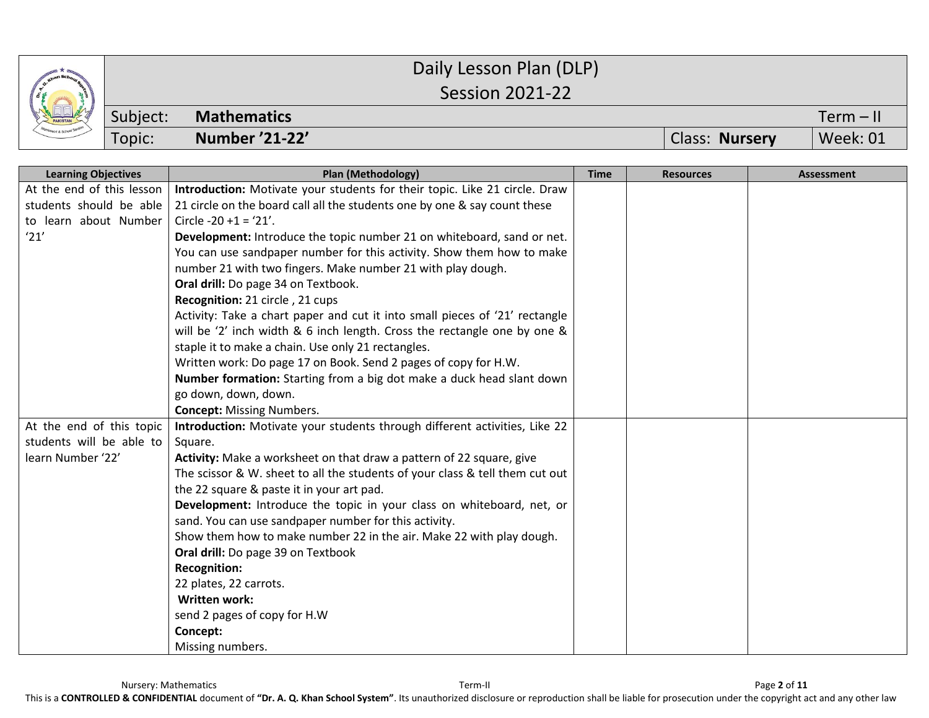| an Sch <sub>e</sub>               |          |                       | Daily Lesson Plan (DLP) |                |                 |
|-----------------------------------|----------|-----------------------|-------------------------|----------------|-----------------|
| PAKISTAN<br>Montessori & School ~ |          |                       | <b>Session 2021-22</b>  |                |                 |
|                                   | Subject: | <b>Mathematics</b>    |                         |                | $Term - II$     |
|                                   | Topic:   | <b>Number '21-22'</b> |                         | Class: Nursery | <b>Week: 01</b> |

| <b>Learning Objectives</b> | Plan (Methodology)                                                           | <b>Time</b> | <b>Resources</b> | <b>Assessment</b> |
|----------------------------|------------------------------------------------------------------------------|-------------|------------------|-------------------|
| At the end of this lesson  | Introduction: Motivate your students for their topic. Like 21 circle. Draw   |             |                  |                   |
| students should be able    | 21 circle on the board call all the students one by one & say count these    |             |                  |                   |
| to learn about Number      | Circle $-20 + 1 = 21'$ .                                                     |             |                  |                   |
| '21'                       | Development: Introduce the topic number 21 on whiteboard, sand or net.       |             |                  |                   |
|                            | You can use sandpaper number for this activity. Show them how to make        |             |                  |                   |
|                            | number 21 with two fingers. Make number 21 with play dough.                  |             |                  |                   |
|                            | Oral drill: Do page 34 on Textbook.                                          |             |                  |                   |
|                            | Recognition: 21 circle, 21 cups                                              |             |                  |                   |
|                            | Activity: Take a chart paper and cut it into small pieces of '21' rectangle  |             |                  |                   |
|                            | will be '2' inch width & 6 inch length. Cross the rectangle one by one &     |             |                  |                   |
|                            | staple it to make a chain. Use only 21 rectangles.                           |             |                  |                   |
|                            | Written work: Do page 17 on Book. Send 2 pages of copy for H.W.              |             |                  |                   |
|                            | Number formation: Starting from a big dot make a duck head slant down        |             |                  |                   |
|                            | go down, down, down.                                                         |             |                  |                   |
|                            | <b>Concept: Missing Numbers.</b>                                             |             |                  |                   |
| At the end of this topic   | Introduction: Motivate your students through different activities, Like 22   |             |                  |                   |
| students will be able to   | Square.                                                                      |             |                  |                   |
| learn Number '22'          | Activity: Make a worksheet on that draw a pattern of 22 square, give         |             |                  |                   |
|                            | The scissor & W. sheet to all the students of your class & tell them cut out |             |                  |                   |
|                            | the 22 square & paste it in your art pad.                                    |             |                  |                   |
|                            | Development: Introduce the topic in your class on whiteboard, net, or        |             |                  |                   |
|                            | sand. You can use sandpaper number for this activity.                        |             |                  |                   |
|                            | Show them how to make number 22 in the air. Make 22 with play dough.         |             |                  |                   |
|                            | Oral drill: Do page 39 on Textbook                                           |             |                  |                   |
|                            | <b>Recognition:</b>                                                          |             |                  |                   |
|                            | 22 plates, 22 carrots.                                                       |             |                  |                   |
|                            | <b>Written work:</b>                                                         |             |                  |                   |
|                            | send 2 pages of copy for H.W                                                 |             |                  |                   |
|                            | Concept:                                                                     |             |                  |                   |
|                            | Missing numbers.                                                             |             |                  |                   |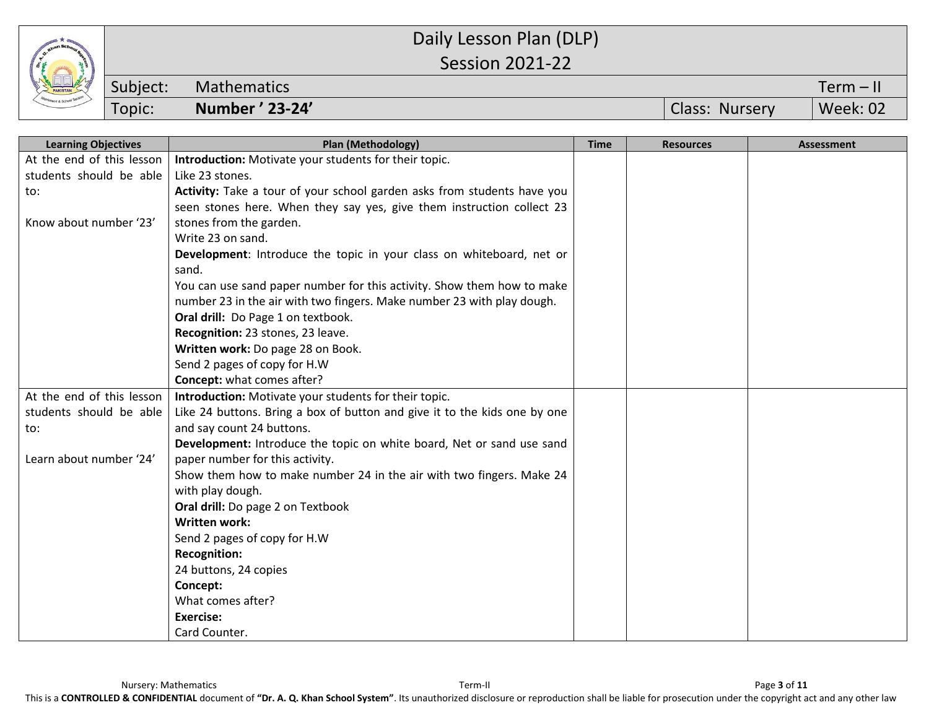

## Daily Lesson Plan (DLP) Session 2021-22

Subject: Mathematics Term – II

Topic: **Number ' 23-24'** Class: Nursery Week: 02

| <b>Week</b><br>.rv |
|--------------------|
|--------------------|

| <b>Learning Objectives</b> | <b>Plan (Methodology)</b>                                                 | <b>Time</b> | <b>Resources</b> | <b>Assessment</b> |
|----------------------------|---------------------------------------------------------------------------|-------------|------------------|-------------------|
| At the end of this lesson  | Introduction: Motivate your students for their topic.                     |             |                  |                   |
| students should be able    | Like 23 stones.                                                           |             |                  |                   |
| to:                        | Activity: Take a tour of your school garden asks from students have you   |             |                  |                   |
|                            | seen stones here. When they say yes, give them instruction collect 23     |             |                  |                   |
| Know about number '23'     | stones from the garden.                                                   |             |                  |                   |
|                            | Write 23 on sand.                                                         |             |                  |                   |
|                            | Development: Introduce the topic in your class on whiteboard, net or      |             |                  |                   |
|                            | sand.                                                                     |             |                  |                   |
|                            | You can use sand paper number for this activity. Show them how to make    |             |                  |                   |
|                            | number 23 in the air with two fingers. Make number 23 with play dough.    |             |                  |                   |
|                            | Oral drill: Do Page 1 on textbook.                                        |             |                  |                   |
|                            | Recognition: 23 stones, 23 leave.                                         |             |                  |                   |
|                            | Written work: Do page 28 on Book.                                         |             |                  |                   |
|                            | Send 2 pages of copy for H.W                                              |             |                  |                   |
|                            | Concept: what comes after?                                                |             |                  |                   |
| At the end of this lesson  | Introduction: Motivate your students for their topic.                     |             |                  |                   |
| students should be able    | Like 24 buttons. Bring a box of button and give it to the kids one by one |             |                  |                   |
| to:                        | and say count 24 buttons.                                                 |             |                  |                   |
|                            | Development: Introduce the topic on white board, Net or sand use sand     |             |                  |                   |
| Learn about number '24'    | paper number for this activity.                                           |             |                  |                   |
|                            | Show them how to make number 24 in the air with two fingers. Make 24      |             |                  |                   |
|                            | with play dough.                                                          |             |                  |                   |
|                            | Oral drill: Do page 2 on Textbook                                         |             |                  |                   |
|                            | <b>Written work:</b>                                                      |             |                  |                   |
|                            | Send 2 pages of copy for H.W                                              |             |                  |                   |
|                            | <b>Recognition:</b>                                                       |             |                  |                   |
|                            | 24 buttons, 24 copies                                                     |             |                  |                   |
|                            | Concept:                                                                  |             |                  |                   |
|                            | What comes after?                                                         |             |                  |                   |
|                            | <b>Exercise:</b>                                                          |             |                  |                   |
|                            | Card Counter.                                                             |             |                  |                   |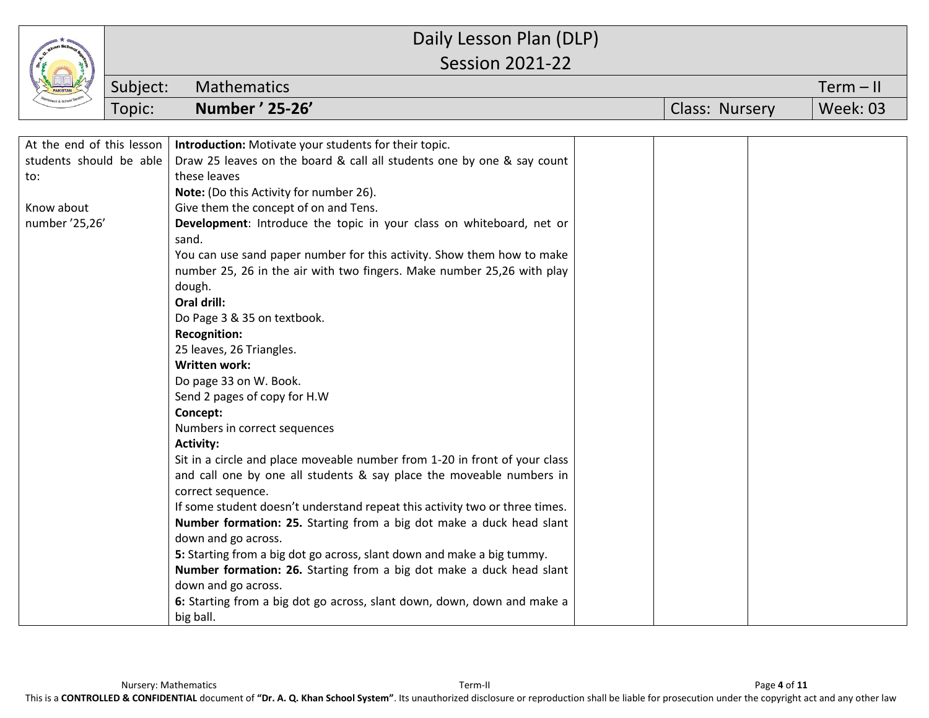| <b>Session 2021-22</b><br>Subject:<br><b>Mathematics</b><br>$Term - II$<br>Number ' 25-26'<br>Topic:<br><b>Week: 03</b><br>Class: Nursery<br>At the end of this lesson<br>Introduction: Motivate your students for their topic.<br>students should be able<br>Draw 25 leaves on the board & call all students one by one & say count<br>these leaves<br>to:<br>Note: (Do this Activity for number 26).<br>Give them the concept of on and Tens.<br>Know about<br>number '25,26'<br>Development: Introduce the topic in your class on whiteboard, net or<br>sand.<br>You can use sand paper number for this activity. Show them how to make<br>number 25, 26 in the air with two fingers. Make number 25,26 with play<br>dough.<br>Oral drill:<br>Do Page 3 & 35 on textbook.<br><b>Recognition:</b><br>25 leaves, 26 Triangles.<br><b>Written work:</b><br>Do page 33 on W. Book.<br>Send 2 pages of copy for H.W<br>Concept:<br>Numbers in correct sequences<br><b>Activity:</b><br>Sit in a circle and place moveable number from 1-20 in front of your class<br>and call one by one all students & say place the moveable numbers in<br>correct sequence.<br>If some student doesn't understand repeat this activity two or three times.<br>Number formation: 25. Starting from a big dot make a duck head slant<br>down and go across.<br>5: Starting from a big dot go across, slant down and make a big tummy.<br>Number formation: 26. Starting from a big dot make a duck head slant<br>down and go across.<br>6: Starting from a big dot go across, slant down, down, down and make a |  | Daily Lesson Plan (DLP) |  |  |  |  |
|------------------------------------------------------------------------------------------------------------------------------------------------------------------------------------------------------------------------------------------------------------------------------------------------------------------------------------------------------------------------------------------------------------------------------------------------------------------------------------------------------------------------------------------------------------------------------------------------------------------------------------------------------------------------------------------------------------------------------------------------------------------------------------------------------------------------------------------------------------------------------------------------------------------------------------------------------------------------------------------------------------------------------------------------------------------------------------------------------------------------------------------------------------------------------------------------------------------------------------------------------------------------------------------------------------------------------------------------------------------------------------------------------------------------------------------------------------------------------------------------------------------------------------------------------------------------------------------------|--|-------------------------|--|--|--|--|
|                                                                                                                                                                                                                                                                                                                                                                                                                                                                                                                                                                                                                                                                                                                                                                                                                                                                                                                                                                                                                                                                                                                                                                                                                                                                                                                                                                                                                                                                                                                                                                                                |  |                         |  |  |  |  |
|                                                                                                                                                                                                                                                                                                                                                                                                                                                                                                                                                                                                                                                                                                                                                                                                                                                                                                                                                                                                                                                                                                                                                                                                                                                                                                                                                                                                                                                                                                                                                                                                |  |                         |  |  |  |  |
|                                                                                                                                                                                                                                                                                                                                                                                                                                                                                                                                                                                                                                                                                                                                                                                                                                                                                                                                                                                                                                                                                                                                                                                                                                                                                                                                                                                                                                                                                                                                                                                                |  |                         |  |  |  |  |
|                                                                                                                                                                                                                                                                                                                                                                                                                                                                                                                                                                                                                                                                                                                                                                                                                                                                                                                                                                                                                                                                                                                                                                                                                                                                                                                                                                                                                                                                                                                                                                                                |  |                         |  |  |  |  |
|                                                                                                                                                                                                                                                                                                                                                                                                                                                                                                                                                                                                                                                                                                                                                                                                                                                                                                                                                                                                                                                                                                                                                                                                                                                                                                                                                                                                                                                                                                                                                                                                |  |                         |  |  |  |  |
|                                                                                                                                                                                                                                                                                                                                                                                                                                                                                                                                                                                                                                                                                                                                                                                                                                                                                                                                                                                                                                                                                                                                                                                                                                                                                                                                                                                                                                                                                                                                                                                                |  |                         |  |  |  |  |
|                                                                                                                                                                                                                                                                                                                                                                                                                                                                                                                                                                                                                                                                                                                                                                                                                                                                                                                                                                                                                                                                                                                                                                                                                                                                                                                                                                                                                                                                                                                                                                                                |  |                         |  |  |  |  |
|                                                                                                                                                                                                                                                                                                                                                                                                                                                                                                                                                                                                                                                                                                                                                                                                                                                                                                                                                                                                                                                                                                                                                                                                                                                                                                                                                                                                                                                                                                                                                                                                |  |                         |  |  |  |  |
|                                                                                                                                                                                                                                                                                                                                                                                                                                                                                                                                                                                                                                                                                                                                                                                                                                                                                                                                                                                                                                                                                                                                                                                                                                                                                                                                                                                                                                                                                                                                                                                                |  |                         |  |  |  |  |
|                                                                                                                                                                                                                                                                                                                                                                                                                                                                                                                                                                                                                                                                                                                                                                                                                                                                                                                                                                                                                                                                                                                                                                                                                                                                                                                                                                                                                                                                                                                                                                                                |  |                         |  |  |  |  |
|                                                                                                                                                                                                                                                                                                                                                                                                                                                                                                                                                                                                                                                                                                                                                                                                                                                                                                                                                                                                                                                                                                                                                                                                                                                                                                                                                                                                                                                                                                                                                                                                |  |                         |  |  |  |  |
|                                                                                                                                                                                                                                                                                                                                                                                                                                                                                                                                                                                                                                                                                                                                                                                                                                                                                                                                                                                                                                                                                                                                                                                                                                                                                                                                                                                                                                                                                                                                                                                                |  |                         |  |  |  |  |
|                                                                                                                                                                                                                                                                                                                                                                                                                                                                                                                                                                                                                                                                                                                                                                                                                                                                                                                                                                                                                                                                                                                                                                                                                                                                                                                                                                                                                                                                                                                                                                                                |  |                         |  |  |  |  |
|                                                                                                                                                                                                                                                                                                                                                                                                                                                                                                                                                                                                                                                                                                                                                                                                                                                                                                                                                                                                                                                                                                                                                                                                                                                                                                                                                                                                                                                                                                                                                                                                |  |                         |  |  |  |  |
|                                                                                                                                                                                                                                                                                                                                                                                                                                                                                                                                                                                                                                                                                                                                                                                                                                                                                                                                                                                                                                                                                                                                                                                                                                                                                                                                                                                                                                                                                                                                                                                                |  |                         |  |  |  |  |
|                                                                                                                                                                                                                                                                                                                                                                                                                                                                                                                                                                                                                                                                                                                                                                                                                                                                                                                                                                                                                                                                                                                                                                                                                                                                                                                                                                                                                                                                                                                                                                                                |  |                         |  |  |  |  |
|                                                                                                                                                                                                                                                                                                                                                                                                                                                                                                                                                                                                                                                                                                                                                                                                                                                                                                                                                                                                                                                                                                                                                                                                                                                                                                                                                                                                                                                                                                                                                                                                |  |                         |  |  |  |  |
|                                                                                                                                                                                                                                                                                                                                                                                                                                                                                                                                                                                                                                                                                                                                                                                                                                                                                                                                                                                                                                                                                                                                                                                                                                                                                                                                                                                                                                                                                                                                                                                                |  |                         |  |  |  |  |
|                                                                                                                                                                                                                                                                                                                                                                                                                                                                                                                                                                                                                                                                                                                                                                                                                                                                                                                                                                                                                                                                                                                                                                                                                                                                                                                                                                                                                                                                                                                                                                                                |  |                         |  |  |  |  |
|                                                                                                                                                                                                                                                                                                                                                                                                                                                                                                                                                                                                                                                                                                                                                                                                                                                                                                                                                                                                                                                                                                                                                                                                                                                                                                                                                                                                                                                                                                                                                                                                |  |                         |  |  |  |  |
|                                                                                                                                                                                                                                                                                                                                                                                                                                                                                                                                                                                                                                                                                                                                                                                                                                                                                                                                                                                                                                                                                                                                                                                                                                                                                                                                                                                                                                                                                                                                                                                                |  |                         |  |  |  |  |
|                                                                                                                                                                                                                                                                                                                                                                                                                                                                                                                                                                                                                                                                                                                                                                                                                                                                                                                                                                                                                                                                                                                                                                                                                                                                                                                                                                                                                                                                                                                                                                                                |  |                         |  |  |  |  |
|                                                                                                                                                                                                                                                                                                                                                                                                                                                                                                                                                                                                                                                                                                                                                                                                                                                                                                                                                                                                                                                                                                                                                                                                                                                                                                                                                                                                                                                                                                                                                                                                |  |                         |  |  |  |  |
|                                                                                                                                                                                                                                                                                                                                                                                                                                                                                                                                                                                                                                                                                                                                                                                                                                                                                                                                                                                                                                                                                                                                                                                                                                                                                                                                                                                                                                                                                                                                                                                                |  |                         |  |  |  |  |
|                                                                                                                                                                                                                                                                                                                                                                                                                                                                                                                                                                                                                                                                                                                                                                                                                                                                                                                                                                                                                                                                                                                                                                                                                                                                                                                                                                                                                                                                                                                                                                                                |  |                         |  |  |  |  |
|                                                                                                                                                                                                                                                                                                                                                                                                                                                                                                                                                                                                                                                                                                                                                                                                                                                                                                                                                                                                                                                                                                                                                                                                                                                                                                                                                                                                                                                                                                                                                                                                |  |                         |  |  |  |  |
|                                                                                                                                                                                                                                                                                                                                                                                                                                                                                                                                                                                                                                                                                                                                                                                                                                                                                                                                                                                                                                                                                                                                                                                                                                                                                                                                                                                                                                                                                                                                                                                                |  |                         |  |  |  |  |
|                                                                                                                                                                                                                                                                                                                                                                                                                                                                                                                                                                                                                                                                                                                                                                                                                                                                                                                                                                                                                                                                                                                                                                                                                                                                                                                                                                                                                                                                                                                                                                                                |  |                         |  |  |  |  |
|                                                                                                                                                                                                                                                                                                                                                                                                                                                                                                                                                                                                                                                                                                                                                                                                                                                                                                                                                                                                                                                                                                                                                                                                                                                                                                                                                                                                                                                                                                                                                                                                |  |                         |  |  |  |  |
|                                                                                                                                                                                                                                                                                                                                                                                                                                                                                                                                                                                                                                                                                                                                                                                                                                                                                                                                                                                                                                                                                                                                                                                                                                                                                                                                                                                                                                                                                                                                                                                                |  |                         |  |  |  |  |
|                                                                                                                                                                                                                                                                                                                                                                                                                                                                                                                                                                                                                                                                                                                                                                                                                                                                                                                                                                                                                                                                                                                                                                                                                                                                                                                                                                                                                                                                                                                                                                                                |  |                         |  |  |  |  |
|                                                                                                                                                                                                                                                                                                                                                                                                                                                                                                                                                                                                                                                                                                                                                                                                                                                                                                                                                                                                                                                                                                                                                                                                                                                                                                                                                                                                                                                                                                                                                                                                |  |                         |  |  |  |  |
|                                                                                                                                                                                                                                                                                                                                                                                                                                                                                                                                                                                                                                                                                                                                                                                                                                                                                                                                                                                                                                                                                                                                                                                                                                                                                                                                                                                                                                                                                                                                                                                                |  | big ball.               |  |  |  |  |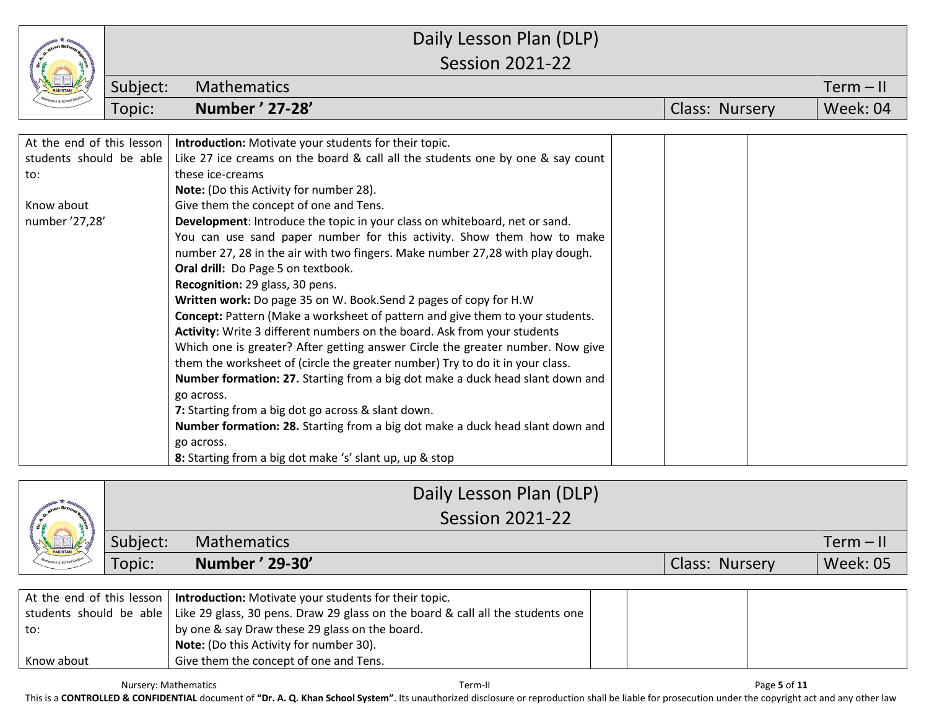|                           | Daily Lesson Plan (DLP) |                                                                                                                                                         |  |                |  |             |  |  |
|---------------------------|-------------------------|---------------------------------------------------------------------------------------------------------------------------------------------------------|--|----------------|--|-------------|--|--|
|                           |                         | <b>Session 2021-22</b>                                                                                                                                  |  |                |  |             |  |  |
|                           | Subject:                | <b>Mathematics</b>                                                                                                                                      |  |                |  | $Term - II$ |  |  |
|                           | Topic:                  | <b>Number ' 27-28'</b>                                                                                                                                  |  | Class: Nursery |  | Week: 04    |  |  |
|                           |                         |                                                                                                                                                         |  |                |  |             |  |  |
| At the end of this lesson |                         | Introduction: Motivate your students for their topic.                                                                                                   |  |                |  |             |  |  |
| students should be able   |                         | Like 27 ice creams on the board & call all the students one by one & say count                                                                          |  |                |  |             |  |  |
| to:                       |                         | these ice-creams                                                                                                                                        |  |                |  |             |  |  |
|                           |                         | Note: (Do this Activity for number 28).                                                                                                                 |  |                |  |             |  |  |
| Know about                |                         | Give them the concept of one and Tens.                                                                                                                  |  |                |  |             |  |  |
| number '27,28'            |                         | Development: Introduce the topic in your class on whiteboard, net or sand.                                                                              |  |                |  |             |  |  |
|                           |                         | You can use sand paper number for this activity. Show them how to make<br>number 27, 28 in the air with two fingers. Make number 27,28 with play dough. |  |                |  |             |  |  |
|                           |                         | Oral drill: Do Page 5 on textbook.                                                                                                                      |  |                |  |             |  |  |
|                           |                         | Recognition: 29 glass, 30 pens.                                                                                                                         |  |                |  |             |  |  |
|                           |                         | Written work: Do page 35 on W. Book.Send 2 pages of copy for H.W                                                                                        |  |                |  |             |  |  |
|                           |                         | Concept: Pattern (Make a worksheet of pattern and give them to your students.                                                                           |  |                |  |             |  |  |
|                           |                         | Activity: Write 3 different numbers on the board. Ask from your students                                                                                |  |                |  |             |  |  |
|                           |                         | Which one is greater? After getting answer Circle the greater number. Now give                                                                          |  |                |  |             |  |  |
|                           |                         | them the worksheet of (circle the greater number) Try to do it in your class.                                                                           |  |                |  |             |  |  |
|                           |                         | Number formation: 27. Starting from a big dot make a duck head slant down and                                                                           |  |                |  |             |  |  |
|                           |                         | go across.                                                                                                                                              |  |                |  |             |  |  |
|                           |                         | 7: Starting from a big dot go across & slant down.                                                                                                      |  |                |  |             |  |  |
|                           |                         | Number formation: 28. Starting from a big dot make a duck head slant down and                                                                           |  |                |  |             |  |  |
|                           |                         | go across.                                                                                                                                              |  |                |  |             |  |  |
|                           |                         | 8: Starting from a big dot make 's' slant up, up & stop                                                                                                 |  |                |  |             |  |  |

|          |          |                                                                                   | Daily Lesson Plan (DLP) |                |                 |
|----------|----------|-----------------------------------------------------------------------------------|-------------------------|----------------|-----------------|
|          |          |                                                                                   | <b>Session 2021-22</b>  |                |                 |
| PAKISTAN | Subject: | <b>Mathematics</b>                                                                |                         |                | $Term - II$     |
|          | Topic:   | Number ' 29-30'                                                                   |                         | Class: Nursery | <b>Week: 05</b> |
|          |          |                                                                                   |                         |                |                 |
|          |          | At the end of this lesson   Introduction: Motivate your students for their topic. |                         |                |                 |

|            | At the end of this lesson   Introduction: Motivate your students for their topic.                        |  |  |
|------------|----------------------------------------------------------------------------------------------------------|--|--|
|            | students should be able   Like 29 glass, 30 pens. Draw 29 glass on the board & call all the students one |  |  |
| to:        | by one & say Draw these 29 glass on the board.                                                           |  |  |
|            | <b>Note:</b> (Do this Activity for number 30).                                                           |  |  |
| Know about | Give them the concept of one and Tens.                                                                   |  |  |

Nursery: Mathematics **Nursery: Mathematics Nursery: Mathematics Page 5** of 11

This is a **CONTROLLED & CONFIDENTIAL** document of **"Dr. A. Q. Khan School System"**. Its unauthorized disclosure or reproduction shall be liable for prosecution under the copyright act and any other law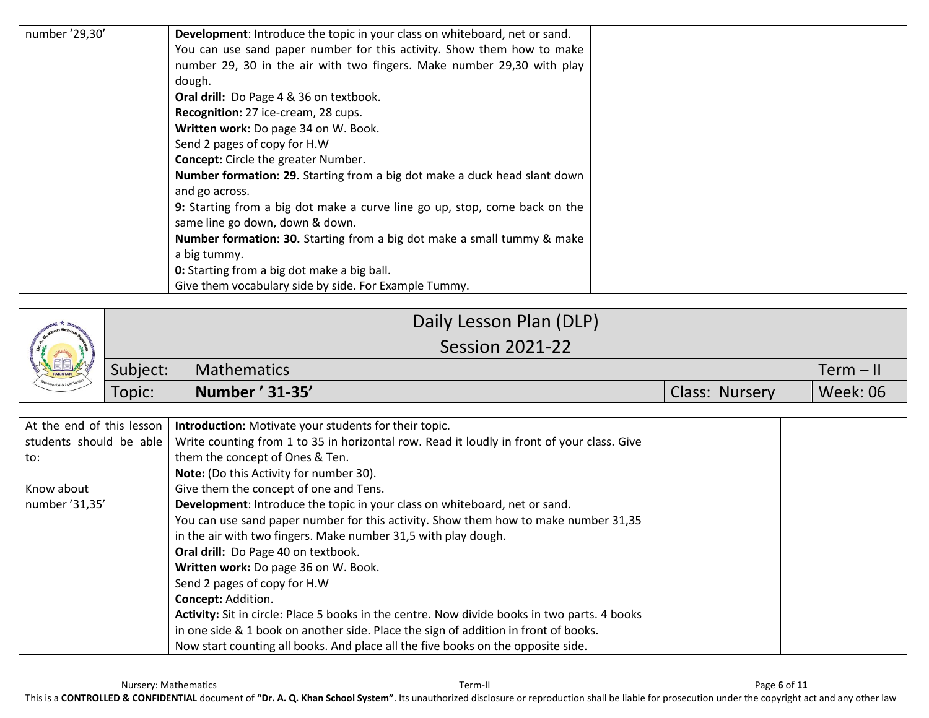| number '29,30' | Development: Introduce the topic in your class on whiteboard, net or sand.     |  |  |
|----------------|--------------------------------------------------------------------------------|--|--|
|                | You can use sand paper number for this activity. Show them how to make         |  |  |
|                | number 29, 30 in the air with two fingers. Make number 29,30 with play         |  |  |
|                | dough.                                                                         |  |  |
|                | Oral drill: Do Page 4 & 36 on textbook.                                        |  |  |
|                | Recognition: 27 ice-cream, 28 cups.                                            |  |  |
|                | Written work: Do page 34 on W. Book.                                           |  |  |
|                | Send 2 pages of copy for H.W                                                   |  |  |
|                | <b>Concept:</b> Circle the greater Number.                                     |  |  |
|                | Number formation: 29. Starting from a big dot make a duck head slant down      |  |  |
|                | and go across.                                                                 |  |  |
|                | 9: Starting from a big dot make a curve line go up, stop, come back on the     |  |  |
|                | same line go down, down & down.                                                |  |  |
|                | <b>Number formation: 30.</b> Starting from a big dot make a small tummy & make |  |  |
|                | a big tummy.                                                                   |  |  |
|                | <b>0:</b> Starting from a big dot make a big ball.                             |  |  |
|                | Give them vocabulary side by side. For Example Tummy.                          |  |  |

|                                              |          | Daily Lesson Plan (DLP) |                |             |
|----------------------------------------------|----------|-------------------------|----------------|-------------|
| PAKISTAN<br><sup>tlossori</sup> & School Ser |          | <b>Session 2021-22</b>  |                |             |
|                                              | Subject: | <b>Mathematics</b>      |                | $Term - II$ |
|                                              | Topic:   | Number ' 31-35'         | Class: Nursery | Week: 06    |

| At the end of this lesson | <b>Introduction:</b> Motivate your students for their topic.                                 |  |  |
|---------------------------|----------------------------------------------------------------------------------------------|--|--|
| students should be able   | Write counting from 1 to 35 in horizontal row. Read it loudly in front of your class. Give   |  |  |
| to:                       | them the concept of Ones & Ten.                                                              |  |  |
|                           | Note: (Do this Activity for number 30).                                                      |  |  |
| Know about                | Give them the concept of one and Tens.                                                       |  |  |
| number '31,35'            | Development: Introduce the topic in your class on whiteboard, net or sand.                   |  |  |
|                           | You can use sand paper number for this activity. Show them how to make number 31,35          |  |  |
|                           | in the air with two fingers. Make number 31,5 with play dough.                               |  |  |
|                           | Oral drill: Do Page 40 on textbook.                                                          |  |  |
|                           | Written work: Do page 36 on W. Book.                                                         |  |  |
|                           | Send 2 pages of copy for H.W                                                                 |  |  |
|                           | Concept: Addition.                                                                           |  |  |
|                           | Activity: Sit in circle: Place 5 books in the centre. Now divide books in two parts. 4 books |  |  |
|                           | in one side & 1 book on another side. Place the sign of addition in front of books.          |  |  |
|                           | Now start counting all books. And place all the five books on the opposite side.             |  |  |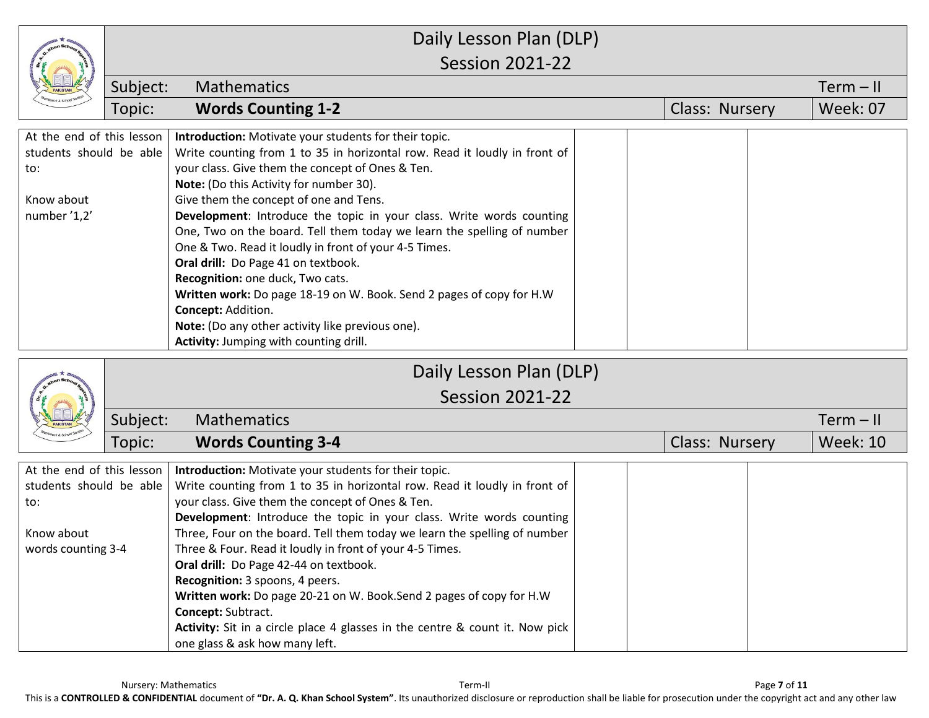|                                                                                                 |                                                                       | Daily Lesson Plan (DLP)                                                                                                                                                                                                                                                                                                                                                                                                                                                                                                                                                                                                                                                                                                                                       |  |                 |                 |  |  |  |  |
|-------------------------------------------------------------------------------------------------|-----------------------------------------------------------------------|---------------------------------------------------------------------------------------------------------------------------------------------------------------------------------------------------------------------------------------------------------------------------------------------------------------------------------------------------------------------------------------------------------------------------------------------------------------------------------------------------------------------------------------------------------------------------------------------------------------------------------------------------------------------------------------------------------------------------------------------------------------|--|-----------------|-----------------|--|--|--|--|
|                                                                                                 |                                                                       | <b>Session 2021-22</b>                                                                                                                                                                                                                                                                                                                                                                                                                                                                                                                                                                                                                                                                                                                                        |  |                 |                 |  |  |  |  |
|                                                                                                 | Subject:                                                              | <b>Mathematics</b>                                                                                                                                                                                                                                                                                                                                                                                                                                                                                                                                                                                                                                                                                                                                            |  |                 | $Term - II$     |  |  |  |  |
|                                                                                                 | Topic:                                                                | <b>Words Counting 1-2</b>                                                                                                                                                                                                                                                                                                                                                                                                                                                                                                                                                                                                                                                                                                                                     |  | <b>Week: 07</b> |                 |  |  |  |  |
| At the end of this lesson<br>students should be able<br>to:<br>Know about<br>number '1,2'       |                                                                       | Introduction: Motivate your students for their topic.<br>Write counting from 1 to 35 in horizontal row. Read it loudly in front of<br>your class. Give them the concept of Ones & Ten.<br>Note: (Do this Activity for number 30).<br>Give them the concept of one and Tens.<br>Development: Introduce the topic in your class. Write words counting<br>One, Two on the board. Tell them today we learn the spelling of number<br>One & Two. Read it loudly in front of your 4-5 Times.<br>Oral drill: Do Page 41 on textbook.<br>Recognition: one duck, Two cats.<br>Written work: Do page 18-19 on W. Book. Send 2 pages of copy for H.W<br>Concept: Addition.<br>Note: (Do any other activity like previous one).<br>Activity: Jumping with counting drill. |  |                 |                 |  |  |  |  |
|                                                                                                 |                                                                       | Daily Lesson Plan (DLP)                                                                                                                                                                                                                                                                                                                                                                                                                                                                                                                                                                                                                                                                                                                                       |  |                 |                 |  |  |  |  |
|                                                                                                 |                                                                       | <b>Session 2021-22</b>                                                                                                                                                                                                                                                                                                                                                                                                                                                                                                                                                                                                                                                                                                                                        |  |                 |                 |  |  |  |  |
|                                                                                                 | Subject:<br><b>Mathematics</b><br><b>Words Counting 3-4</b><br>Topic: |                                                                                                                                                                                                                                                                                                                                                                                                                                                                                                                                                                                                                                                                                                                                                               |  |                 | $Term - II$     |  |  |  |  |
|                                                                                                 |                                                                       |                                                                                                                                                                                                                                                                                                                                                                                                                                                                                                                                                                                                                                                                                                                                                               |  | Class: Nursery  | <b>Week: 10</b> |  |  |  |  |
| At the end of this lesson<br>students should be able<br>to:<br>Know about<br>words counting 3-4 |                                                                       | Introduction: Motivate your students for their topic.<br>Write counting from 1 to 35 in horizontal row. Read it loudly in front of<br>your class. Give them the concept of Ones & Ten.<br>Development: Introduce the topic in your class. Write words counting<br>Three, Four on the board. Tell them today we learn the spelling of number<br>Three & Four. Read it loudly in front of your 4-5 Times.<br>Oral drill: Do Page 42-44 on textbook.<br>Recognition: 3 spoons, 4 peers.<br>Written work: Do page 20-21 on W. Book.Send 2 pages of copy for H.W<br>Concept: Subtract.<br>Activity: Sit in a circle place 4 glasses in the centre & count it. Now pick<br>one glass & ask how many left.                                                           |  |                 |                 |  |  |  |  |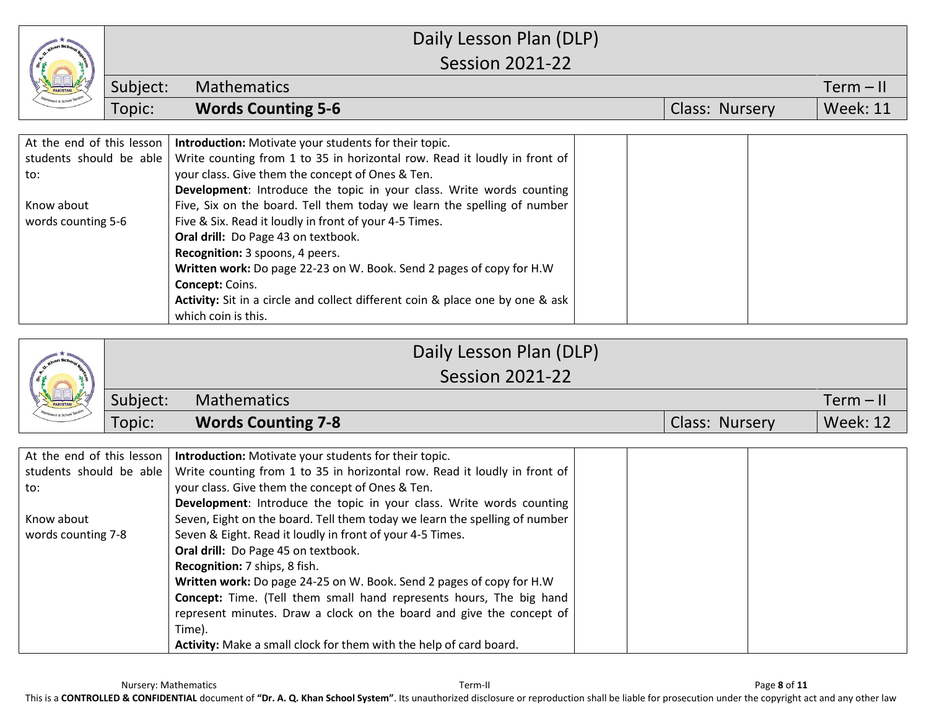|                           | Daily Lesson Plan (DLP) |                                                                               |  |  |  |                 |  |  |
|---------------------------|-------------------------|-------------------------------------------------------------------------------|--|--|--|-----------------|--|--|
|                           |                         | <b>Session 2021-22</b>                                                        |  |  |  |                 |  |  |
|                           | Subject:                | <b>Mathematics</b>                                                            |  |  |  | $Term - II$     |  |  |
|                           | Topic:                  | <b>Words Counting 5-6</b><br>Class: Nursery                                   |  |  |  | <b>Week: 11</b> |  |  |
| At the end of this lesson |                         | Introduction: Motivate your students for their topic.                         |  |  |  |                 |  |  |
| students should be able   |                         | Write counting from 1 to 35 in horizontal row. Read it loudly in front of     |  |  |  |                 |  |  |
| to:                       |                         | your class. Give them the concept of Ones & Ten.                              |  |  |  |                 |  |  |
|                           |                         | Development: Introduce the topic in your class. Write words counting          |  |  |  |                 |  |  |
| Know about                |                         | Five, Six on the board. Tell them today we learn the spelling of number       |  |  |  |                 |  |  |
| words counting 5-6        |                         | Five & Six. Read it loudly in front of your 4-5 Times.                        |  |  |  |                 |  |  |
|                           |                         | Oral drill: Do Page 43 on textbook.<br>Recognition: 3 spoons, 4 peers.        |  |  |  |                 |  |  |
|                           |                         | Written work: Do page 22-23 on W. Book. Send 2 pages of copy for H.W          |  |  |  |                 |  |  |
|                           |                         | Concept: Coins.                                                               |  |  |  |                 |  |  |
|                           |                         | Activity: Sit in a circle and collect different coin & place one by one & ask |  |  |  |                 |  |  |
|                           |                         | which coin is this.                                                           |  |  |  |                 |  |  |

|          |          | Daily Lesson Plan (DLP)                                                           |                |                 |
|----------|----------|-----------------------------------------------------------------------------------|----------------|-----------------|
|          |          | <b>Session 2021-22</b>                                                            |                |                 |
| PAKISTAN | Subject: | <b>Mathematics</b>                                                                |                | $Term - II$     |
|          | Topic:   | <b>Words Counting 7-8</b>                                                         | Class: Nursery | <b>Week: 12</b> |
|          |          |                                                                                   |                |                 |
|          |          | At the end of this lesson   Introduction: Motivate your students for their topic. |                |                 |

| At the end of this lesson | <b>Introduction:</b> Motivate your students for their topic.                |  |  |
|---------------------------|-----------------------------------------------------------------------------|--|--|
| students should be able   | Write counting from 1 to 35 in horizontal row. Read it loudly in front of   |  |  |
| to:                       | your class. Give them the concept of Ones & Ten.                            |  |  |
|                           | <b>Development:</b> Introduce the topic in your class. Write words counting |  |  |
| Know about                | Seven, Eight on the board. Tell them today we learn the spelling of number  |  |  |
| words counting 7-8        | Seven & Eight. Read it loudly in front of your 4-5 Times.                   |  |  |
|                           | Oral drill: Do Page 45 on textbook.                                         |  |  |
|                           | Recognition: 7 ships, 8 fish.                                               |  |  |
|                           | Written work: Do page 24-25 on W. Book. Send 2 pages of copy for H.W        |  |  |
|                           | Concept: Time. (Tell them small hand represents hours, The big hand         |  |  |
|                           | represent minutes. Draw a clock on the board and give the concept of        |  |  |
|                           | Time).                                                                      |  |  |
|                           | Activity: Make a small clock for them with the help of card board.          |  |  |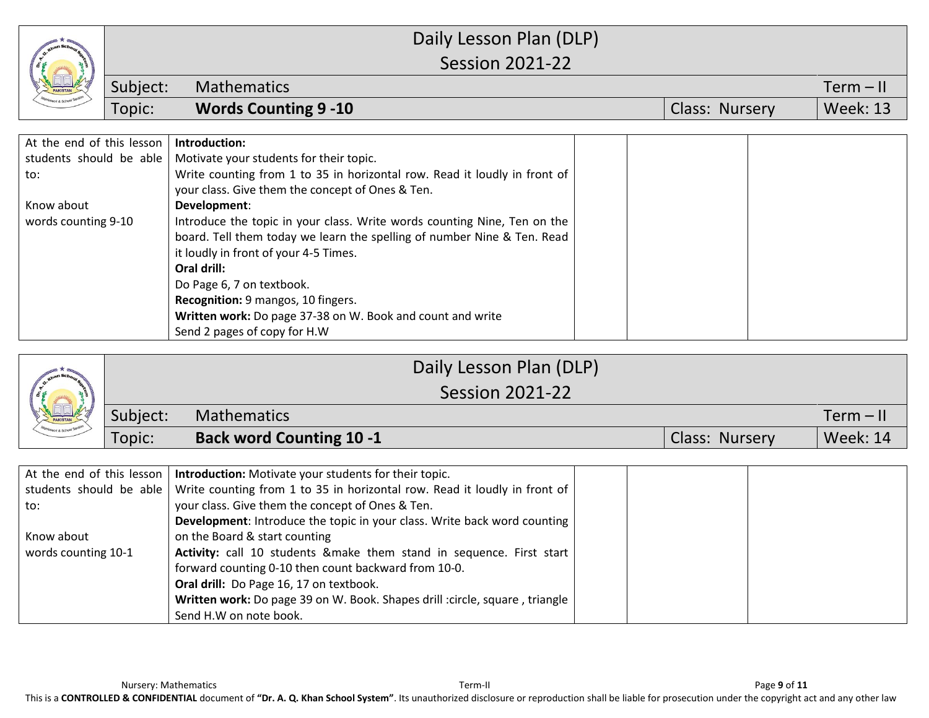|                           | Daily Lesson Plan (DLP) |                                                                           |  |                |                 |  |  |  |
|---------------------------|-------------------------|---------------------------------------------------------------------------|--|----------------|-----------------|--|--|--|
|                           |                         | <b>Session 2021-22</b>                                                    |  |                |                 |  |  |  |
|                           | Subject:                | <b>Mathematics</b>                                                        |  |                | $Term - II$     |  |  |  |
|                           | Topic:                  | <b>Words Counting 9 -10</b>                                               |  | Class: Nursery | <b>Week: 13</b> |  |  |  |
|                           |                         |                                                                           |  |                |                 |  |  |  |
| At the end of this lesson |                         | Introduction:                                                             |  |                |                 |  |  |  |
| students should be able   |                         | Motivate your students for their topic.                                   |  |                |                 |  |  |  |
| to:                       |                         | Write counting from 1 to 35 in horizontal row. Read it loudly in front of |  |                |                 |  |  |  |
|                           |                         | your class. Give them the concept of Ones & Ten.                          |  |                |                 |  |  |  |
| Know about                |                         | Development:                                                              |  |                |                 |  |  |  |
| words counting 9-10       |                         | Introduce the topic in your class. Write words counting Nine, Ten on the  |  |                |                 |  |  |  |
|                           |                         | board. Tell them today we learn the spelling of number Nine & Ten. Read   |  |                |                 |  |  |  |
|                           |                         | it loudly in front of your 4-5 Times.                                     |  |                |                 |  |  |  |
|                           |                         | Oral drill:                                                               |  |                |                 |  |  |  |
|                           |                         | Do Page 6, 7 on textbook.                                                 |  |                |                 |  |  |  |
|                           |                         | Recognition: 9 mangos, 10 fingers.                                        |  |                |                 |  |  |  |
|                           |                         | Written work: Do page 37-38 on W. Book and count and write                |  |                |                 |  |  |  |
|                           |                         | Send 2 pages of copy for H.W                                              |  |                |                 |  |  |  |

| PAKISTAN                       |          | Daily Lesson Plan (DLP)         |                |                 |
|--------------------------------|----------|---------------------------------|----------------|-----------------|
|                                |          | <b>Session 2021-22</b>          |                |                 |
|                                | Subject: | Mathematics                     |                | $Term - II$     |
| <b>Kontessori &amp; School</b> | Topic:   | <b>Back word Counting 10 -1</b> | Class: Nursery | <b>Week: 14</b> |
|                                |          |                                 |                |                 |

|                         | At the end of this lesson   Introduction: Motivate your students for their topic. |  |  |
|-------------------------|-----------------------------------------------------------------------------------|--|--|
| students should be able | Write counting from 1 to 35 in horizontal row. Read it loudly in front of         |  |  |
| to:                     | your class. Give them the concept of Ones & Ten.                                  |  |  |
|                         | Development: Introduce the topic in your class. Write back word counting          |  |  |
| Know about              | on the Board & start counting                                                     |  |  |
| words counting 10-1     | Activity: call 10 students & make them stand in sequence. First start             |  |  |
|                         | forward counting 0-10 then count backward from 10-0.                              |  |  |
|                         | Oral drill: Do Page 16, 17 on textbook.                                           |  |  |
|                         | Written work: Do page 39 on W. Book. Shapes drill :circle, square, triangle       |  |  |
|                         | Send H.W on note book.                                                            |  |  |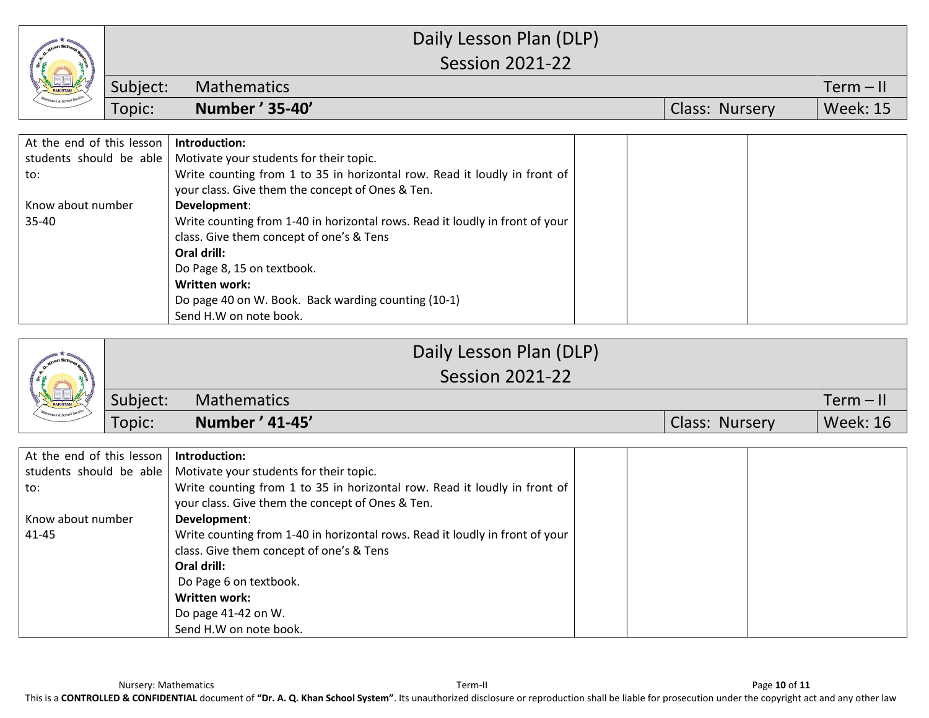|                           |          | Daily Lesson Plan (DLP)                                                      |  |  |                |  |                 |  |  |
|---------------------------|----------|------------------------------------------------------------------------------|--|--|----------------|--|-----------------|--|--|
|                           |          | <b>Session 2021-22</b>                                                       |  |  |                |  |                 |  |  |
|                           | Subject: | <b>Mathematics</b>                                                           |  |  |                |  | $Term - II$     |  |  |
|                           | Topic:   | Number ' 35-40'                                                              |  |  | Class: Nursery |  | <b>Week: 15</b> |  |  |
|                           |          |                                                                              |  |  |                |  |                 |  |  |
| At the end of this lesson |          | Introduction:                                                                |  |  |                |  |                 |  |  |
| students should be able   |          | Motivate your students for their topic.                                      |  |  |                |  |                 |  |  |
| to:                       |          | Write counting from 1 to 35 in horizontal row. Read it loudly in front of    |  |  |                |  |                 |  |  |
|                           |          | your class. Give them the concept of Ones & Ten.                             |  |  |                |  |                 |  |  |
| Know about number         |          | Development:                                                                 |  |  |                |  |                 |  |  |
| 35-40                     |          | Write counting from 1-40 in horizontal rows. Read it loudly in front of your |  |  |                |  |                 |  |  |
|                           |          | class. Give them concept of one's & Tens                                     |  |  |                |  |                 |  |  |
|                           |          | Oral drill:                                                                  |  |  |                |  |                 |  |  |
|                           |          | Do Page 8, 15 on textbook.                                                   |  |  |                |  |                 |  |  |
|                           |          | <b>Written work:</b>                                                         |  |  |                |  |                 |  |  |
|                           |          | Do page 40 on W. Book. Back warding counting (10-1)                          |  |  |                |  |                 |  |  |
|                           |          | Send H.W on note book.                                                       |  |  |                |  |                 |  |  |

| PAKISTAN            |          |                    | Daily Lesson Plan (DLP) |                |                 |
|---------------------|----------|--------------------|-------------------------|----------------|-----------------|
|                     |          |                    | <b>Session 2021-22</b>  |                |                 |
|                     | Subject: | <b>Mathematics</b> |                         |                | $Term - II$     |
| Messori & School Se | Topic:   | Number ' 41-45'    |                         | Class: Nursery | <b>Week: 16</b> |
|                     |          |                    |                         |                |                 |

| At the end of this lesson | Introduction:                                                                |  |  |
|---------------------------|------------------------------------------------------------------------------|--|--|
|                           | students should be able   Motivate your students for their topic.            |  |  |
| to:                       | Write counting from 1 to 35 in horizontal row. Read it loudly in front of    |  |  |
|                           | your class. Give them the concept of Ones & Ten.                             |  |  |
| Know about number         | Development:                                                                 |  |  |
| 41-45                     | Write counting from 1-40 in horizontal rows. Read it loudly in front of your |  |  |
|                           | class. Give them concept of one's & Tens                                     |  |  |
|                           | Oral drill:                                                                  |  |  |
|                           | Do Page 6 on textbook.                                                       |  |  |
|                           | Written work:                                                                |  |  |
|                           | Do page 41-42 on W.                                                          |  |  |
|                           | Send H.W on note book.                                                       |  |  |